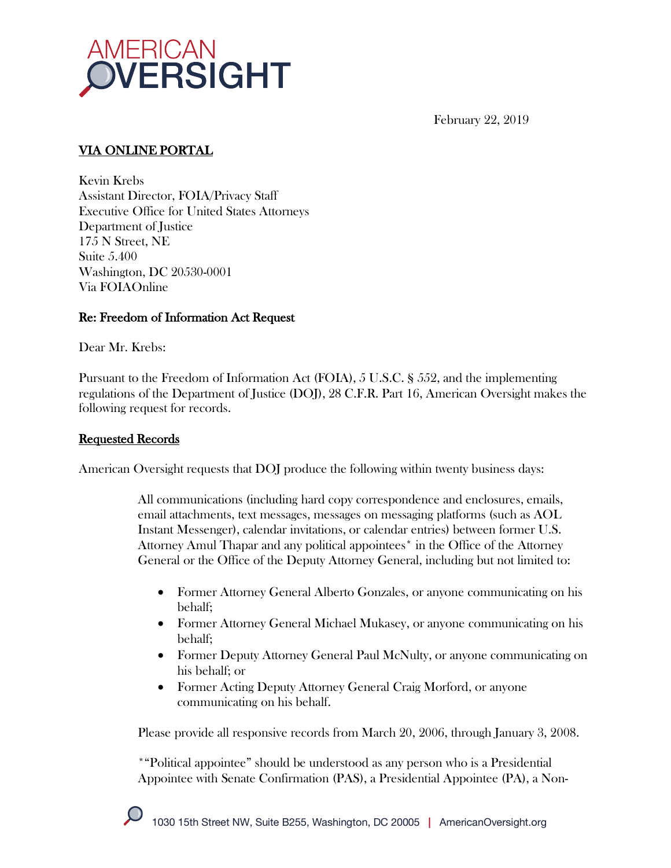

February 22, 2019

# VIA ONLINE PORTAL

Kevin Krebs Assistant Director, FOIA/Privacy Staff Executive Office for United States Attorneys Department of Justice 175 N Street, NE Suite 5.400 Washington, DC 20530-0001 Via FOIAOnline

## Re: Freedom of Information Act Request

Dear Mr. Krebs:

Pursuant to the Freedom of Information Act (FOIA), 5 U.S.C. § 552, and the implementing regulations of the Department of Justice (DOJ), 28 C.F.R. Part 16, American Oversight makes the following request for records.

### Requested Records

American Oversight requests that DOJ produce the following within twenty business days:

All communications (including hard copy correspondence and enclosures, emails, email attachments, text messages, messages on messaging platforms (such as AOL Instant Messenger), calendar invitations, or calendar entries) between former U.S. Attorney Amul Thapar and any political appointees\* in the Office of the Attorney General or the Office of the Deputy Attorney General, including but not limited to:

- Former Attorney General Alberto Gonzales, or anyone communicating on his behalf;
- Former Attorney General Michael Mukasey, or anyone communicating on his behalf;
- Former Deputy Attorney General Paul McNulty, or anyone communicating on his behalf; or
- Former Acting Deputy Attorney General Craig Morford, or anyone communicating on his behalf.

Please provide all responsive records from March 20, 2006, through January 3, 2008.

\*"Political appointee" should be understood as any person who is a Presidential Appointee with Senate Confirmation (PAS), a Presidential Appointee (PA), a Non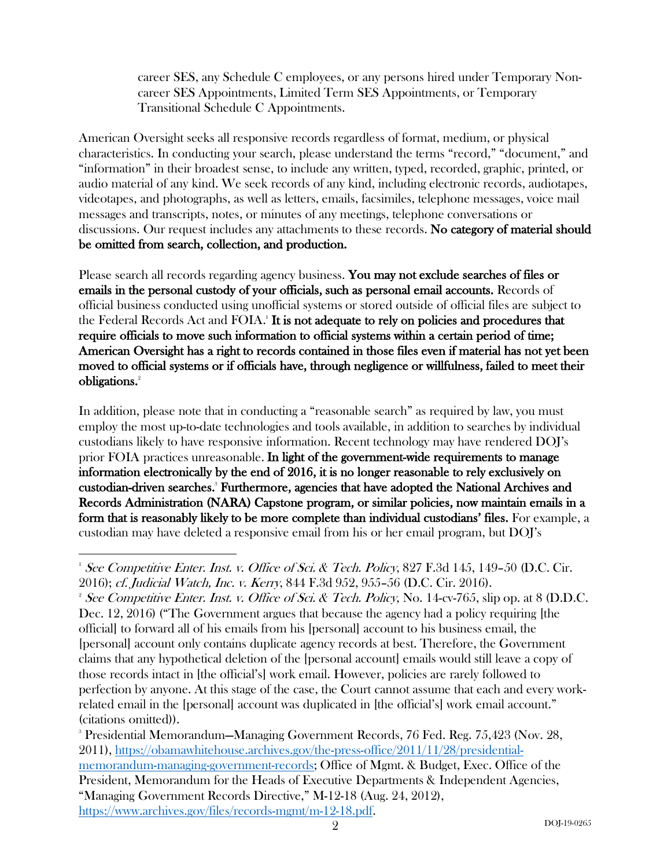career SES, any Schedule C employees, or any persons hired under Temporary Noncareer SES Appointments, Limited Term SES Appointments, or Temporary Transitional Schedule C Appointments.

American Oversight seeks all responsive records regardless of format, medium, or physical characteristics. In conducting your search, please understand the terms "record," "document," and "information" in their broadest sense, to include any written, typed, recorded, graphic, printed, or audio material of any kind. We seek records of any kind, including electronic records, audiotapes, videotapes, and photographs, as well as letters, emails, facsimiles, telephone messages, voice mail messages and transcripts, notes, or minutes of any meetings, telephone conversations or discussions. Our request includes any attachments to these records. No category of material should be omitted from search, collection, and production.

Please search all records regarding agency business. You may not exclude searches of files or emails in the personal custody of your officials, such as personal email accounts. Records of official business conducted using unofficial systems or stored outside of official files are subject to the Federal Records Act and FOIA.<sup>1</sup> It is not adequate to rely on policies and procedures that require officials to move such information to official systems within a certain period of time; American Oversight has a right to records contained in those files even if material has not yet been moved to official systems or if officials have, through negligence or willfulness, failed to meet their obligations.<sup>2</sup>

In addition, please note that in conducting a "reasonable search" as required by law, you must employ the most up-to-date technologies and tools available, in addition to searches by individual custodians likely to have responsive information. Recent technology may have rendered DOJ's prior FOIA practices unreasonable. In light of the government-wide requirements to manage information electronically by the end of 2016, it is no longer reasonable to rely exclusively on custodian-driven searches.<sup>3</sup> Furthermore, agencies that have adopted the National Archives and Records Administration (NARA) Capstone program, or similar policies, now maintain emails in a form that is reasonably likely to be more complete than individual custodians' files. For example, a custodian may have deleted a responsive email from his or her email program, but DOJ's

 $\overline{a}$ <sup>1</sup> See Competitive Enter. Inst. v. Office of Sci. & Tech. Policy, 827 F.3d 145, 149-50 (D.C. Cir. 2016); cf. Judicial Watch, Inc. v. Kerry, 844 F.3d 952, 955–56 (D.C. Cir. 2016). 2

<sup>&</sup>lt;sup>2</sup> See Competitive Enter. Inst. v. Office of Sci. & Tech. Policy, No. 14-cv-765, slip op. at 8 (D.D.C. Dec. 12, 2016) ("The Government argues that because the agency had a policy requiring [the official] to forward all of his emails from his [personal] account to his business email, the [personal] account only contains duplicate agency records at best. Therefore, the Government claims that any hypothetical deletion of the [personal account] emails would still leave a copy of those records intact in [the official's] work email. However, policies are rarely followed to perfection by anyone. At this stage of the case, the Court cannot assume that each and every workrelated email in the [personal] account was duplicated in [the official's] work email account." (citations omitted)).

<sup>3</sup> Presidential Memorandum—Managing Government Records, 76 Fed. Reg. 75,423 (Nov. 28, 2011), https://obamawhitehouse.archives.gov/the-press-office/2011/11/28/presidentialmemorandum-managing-government-records; Office of Mgmt. & Budget, Exec. Office of the President, Memorandum for the Heads of Executive Departments & Independent Agencies, "Managing Government Records Directive," M-12-18 (Aug. 24, 2012), https://www.archives.gov/files/records-mgmt/m-12-18.pdf.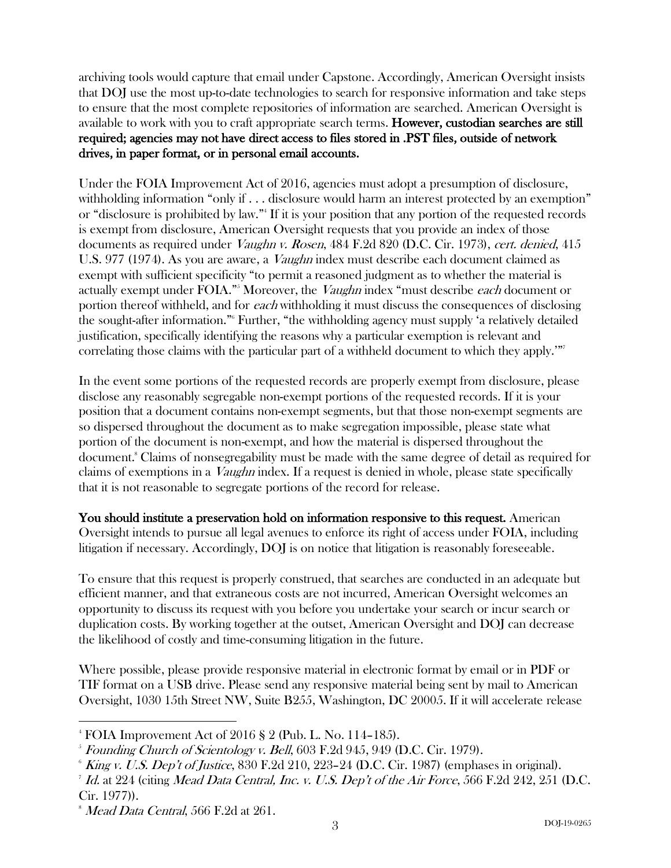archiving tools would capture that email under Capstone. Accordingly, American Oversight insists that DOJ use the most up-to-date technologies to search for responsive information and take steps to ensure that the most complete repositories of information are searched. American Oversight is available to work with you to craft appropriate search terms. However, custodian searches are still required; agencies may not have direct access to files stored in .PST files, outside of network drives, in paper format, or in personal email accounts.

Under the FOIA Improvement Act of 2016, agencies must adopt a presumption of disclosure, withholding information "only if . . . disclosure would harm an interest protected by an exemption" or "disclosure is prohibited by law."4 If it is your position that any portion of the requested records is exempt from disclosure, American Oversight requests that you provide an index of those documents as required under *Vaughn v. Rosen*, 484 F.2d 820 (D.C. Cir. 1973), cert. denied, 415 U.S. 977 (1974). As you are aware, a *Vaughn* index must describe each document claimed as exempt with sufficient specificity "to permit a reasoned judgment as to whether the material is actually exempt under FOIA."<sup>5</sup> Moreover, the *Vaughn* index "must describe each document or portion thereof withheld, and for each withholding it must discuss the consequences of disclosing the sought-after information."6 Further, "the withholding agency must supply 'a relatively detailed justification, specifically identifying the reasons why a particular exemption is relevant and correlating those claims with the particular part of a withheld document to which they apply.'"

In the event some portions of the requested records are properly exempt from disclosure, please disclose any reasonably segregable non-exempt portions of the requested records. If it is your position that a document contains non-exempt segments, but that those non-exempt segments are so dispersed throughout the document as to make segregation impossible, please state what portion of the document is non-exempt, and how the material is dispersed throughout the document.8 Claims of nonsegregability must be made with the same degree of detail as required for claims of exemptions in a Vaughn index. If a request is denied in whole, please state specifically that it is not reasonable to segregate portions of the record for release.

You should institute a preservation hold on information responsive to this request. American Oversight intends to pursue all legal avenues to enforce its right of access under FOIA, including litigation if necessary. Accordingly, DOJ is on notice that litigation is reasonably foreseeable.

To ensure that this request is properly construed, that searches are conducted in an adequate but efficient manner, and that extraneous costs are not incurred, American Oversight welcomes an opportunity to discuss its request with you before you undertake your search or incur search or duplication costs. By working together at the outset, American Oversight and DOJ can decrease the likelihood of costly and time-consuming litigation in the future.

Where possible, please provide responsive material in electronic format by email or in PDF or TIF format on a USB drive. Please send any responsive material being sent by mail to American Oversight, 1030 15th Street NW, Suite B255, Washington, DC 20005. If it will accelerate release

 $\overline{a}$ 

<sup>4</sup> FOIA Improvement Act of 2016 § 2 (Pub. L. No. 114–185).

 $^{\circ}$  Founding Church of Scientology v. Bell,  $603$  F.2d  $945,$   $949$  (D.C. Cir. 1979).

 $6$  King v. U.S. Dep't of Justice, 830 F.2d 210, 223–24 (D.C. Cir. 1987) (emphases in original).

 $7$  Id. at  $224$  (citing Mead Data Central, Inc. v. U.S. Dep't of the Air Force, 566 F.2d  $242$ ,  $251$  (D.C. Cir. 1977)).

 $^8$  *Mead Data Central*, 566 F.2d at 261.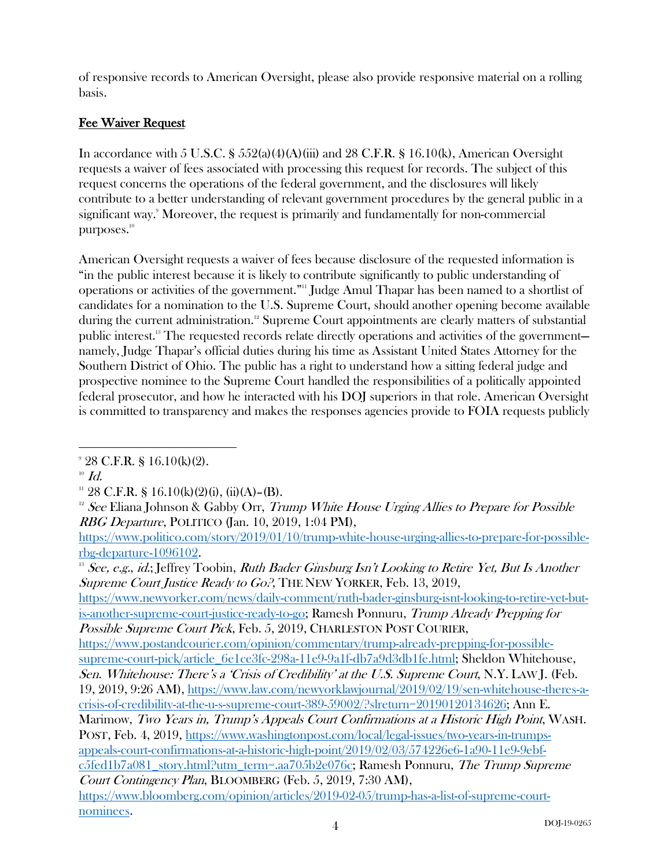of responsive records to American Oversight, please also provide responsive material on a rolling basis.

# Fee Waiver Request

In accordance with 5 U.S.C. § 552(a)(4)(A)(iii) and 28 C.F.R. § 16.10(k), American Oversight requests a waiver of fees associated with processing this request for records. The subject of this request concerns the operations of the federal government, and the disclosures will likely contribute to a better understanding of relevant government procedures by the general public in a significant way.<sup>9</sup> Moreover, the request is primarily and fundamentally for non-commercial purposes.<sup>10</sup>

American Oversight requests a waiver of fees because disclosure of the requested information is "in the public interest because it is likely to contribute significantly to public understanding of operations or activities of the government." <sup>11</sup> Judge Amul Thapar has been named to a shortlist of candidates for a nomination to the U.S. Supreme Court, should another opening become available during the current administration. <sup>12</sup> Supreme Court appointments are clearly matters of substantial public interest.<sup>13</sup> The requested records relate directly operations and activities of the government namely, Judge Thapar's official duties during his time as Assistant United States Attorney for the Southern District of Ohio. The public has a right to understand how a sitting federal judge and prospective nominee to the Supreme Court handled the responsibilities of a politically appointed federal prosecutor, and how he interacted with his DOJ superiors in that role. American Oversight is committed to transparency and makes the responses agencies provide to FOIA requests publicly

 $^{10}$   $\mathit{Id}.$ 

 $\overline{a}$ 

<sup>13</sup> See, e.g., id.; Jeffrey Toobin, Ruth Bader Ginsburg Isn't Looking to Retire Yet, But Is Another Supreme Court Justice Ready to Go.<sup>9</sup>, THE NEW YORKER, Feb. 13, 2019,

https://www.newyorker.com/news/daily-comment/ruth-bader-ginsburg-isnt-looking-to-retire-yet-butis-another-supreme-court-justice-ready-to-go; Ramesh Ponnuru, Trump Already Prepping for Possible Supreme Court Pick, Feb. 5, 2019, CHARLESTON POST COURIER,

Marimow, Two Years in, Trump's Appeals Court Confirmations at a Historic High Point, WASH. POST, Feb. 4, 2019, https://www.washingtonpost.com/local/legal-issues/two-years-in-trumpsappeals-court-confirmations-at-a-historic-high-point/2019/02/03/574226e6-1a90-11e9-9ebfc5fed1b7a081\_story.html?utm\_term=.aa705b2e076c; Ramesh Ponnuru, The Trump Supreme

Court Contingency Plan, BLOOMBERG (Feb. 5, 2019, 7:30 AM),

https://www.bloomberg.com/opinion/articles/2019-02-05/trump-has-a-list-of-supreme-courtnominees.

<sup>9</sup> 28 C.F.R. § 16.10(k)(2).

<sup>&</sup>lt;sup>11</sup> 28 C.F.R. § 16.10(k)(2)(i), (ii)(A)–(B).

<sup>&</sup>lt;sup>12</sup> See Eliana Johnson & Gabby Orr, *Trump White House Urging Allies to Prepare for Possible* RBG Departure, POLITICO (Jan. 10, 2019, 1:04 PM),

https://www.politico.com/story/2019/01/10/trump-white-house-urging-allies-to-prepare-for-possiblerbg-departure-1096102.

https://www.postandcourier.com/opinion/commentary/trump-already-prepping-for-possiblesupreme-court-pick/article\_6e1ce3fc-298a-11e9-9a1f-db7a9d3db1fe.html; Sheldon Whitehouse, Sen. Whitehouse: There's a 'Crisis of Credibility' at the U.S. Supreme Court, N.Y. LAW J. (Feb. 19, 2019, 9:26 AM), https://www.law.com/newyorklawjournal/2019/02/19/sen-whitehouse-theres-a-

crisis-of-credibility-at-the-u-s-supreme-court-389-59002/?slreturn=20190120134626; Ann E.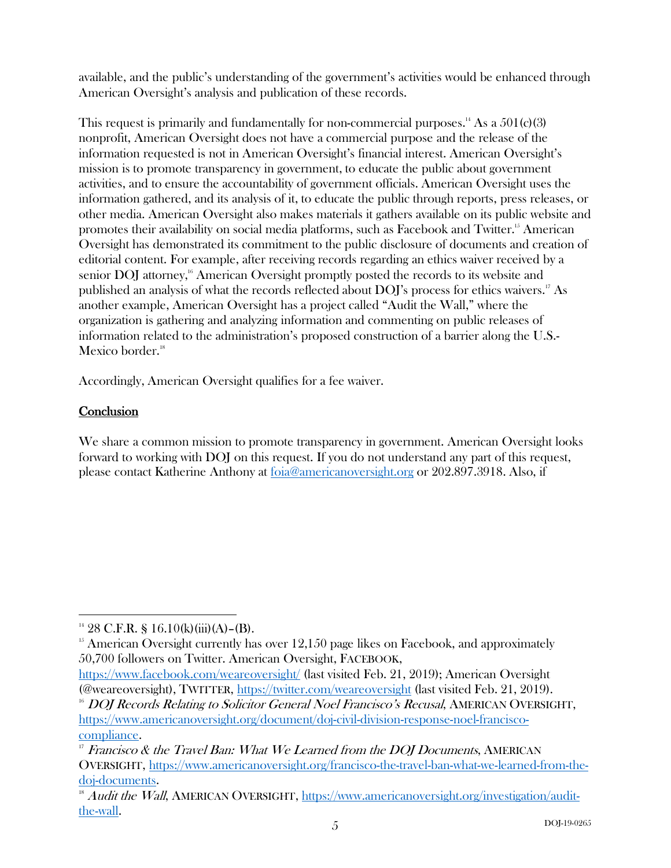available, and the public's understanding of the government's activities would be enhanced through American Oversight's analysis and publication of these records.

This request is primarily and fundamentally for non-commercial purposes.<sup>14</sup> As a  $501(c)(3)$ nonprofit, American Oversight does not have a commercial purpose and the release of the information requested is not in American Oversight's financial interest. American Oversight's mission is to promote transparency in government, to educate the public about government activities, and to ensure the accountability of government officials. American Oversight uses the information gathered, and its analysis of it, to educate the public through reports, press releases, or other media. American Oversight also makes materials it gathers available on its public website and promotes their availability on social media platforms, such as Facebook and Twitter.<sup>15</sup> American Oversight has demonstrated its commitment to the public disclosure of documents and creation of editorial content. For example, after receiving records regarding an ethics waiver received by a senior DOJ attorney,<sup>16</sup> American Oversight promptly posted the records to its website and published an analysis of what the records reflected about  $\rm{DOJ's}$  process for ethics waivers.<sup>17</sup> As another example, American Oversight has a project called "Audit the Wall," where the organization is gathering and analyzing information and commenting on public releases of information related to the administration's proposed construction of a barrier along the U.S.- Mexico border. $18$ 

Accordingly, American Oversight qualifies for a fee waiver.

### **Conclusion**

 $\overline{a}$ 

We share a common mission to promote transparency in government. American Oversight looks forward to working with DOJ on this request. If you do not understand any part of this request, please contact Katherine Anthony at foia@americanoversight.org or 202.897.3918. Also, if

<sup>&</sup>lt;sup>14</sup> 28 C.F.R. § 16.10(k)(iii)(A)–(B).

 $15$  American Oversight currently has over  $12,150$  page likes on Facebook, and approximately 50,700 followers on Twitter. American Oversight, FACEBOOK,

https://www.facebook.com/weareoversight/ (last visited Feb. 21, 2019); American Oversight (@weareoversight), TWITTER, https://twitter.com/weareoversight (last visited Feb. 21, 2019).

<sup>&</sup>lt;sup>16</sup> DOJ Records Relating to Solicitor General Noel Francisco's Recusal, AMERICAN OVERSIGHT, https://www.americanoversight.org/document/doj-civil-division-response-noel-francisco-

 $\frac{\text{compliance.}}{\text{r}}$  Francisco & the Travel Ban: What We Learned from the DOJ Documents, AMERICAN OVERSIGHT, https://www.americanoversight.org/francisco-the-travel-ban-what-we-learned-from-thedoj-documents.<br><sup>18</sup> Audit the Wall, AMERICAN OVERSIGHT, https://www.americanoversight.org/investigation/audit-

the-wall.